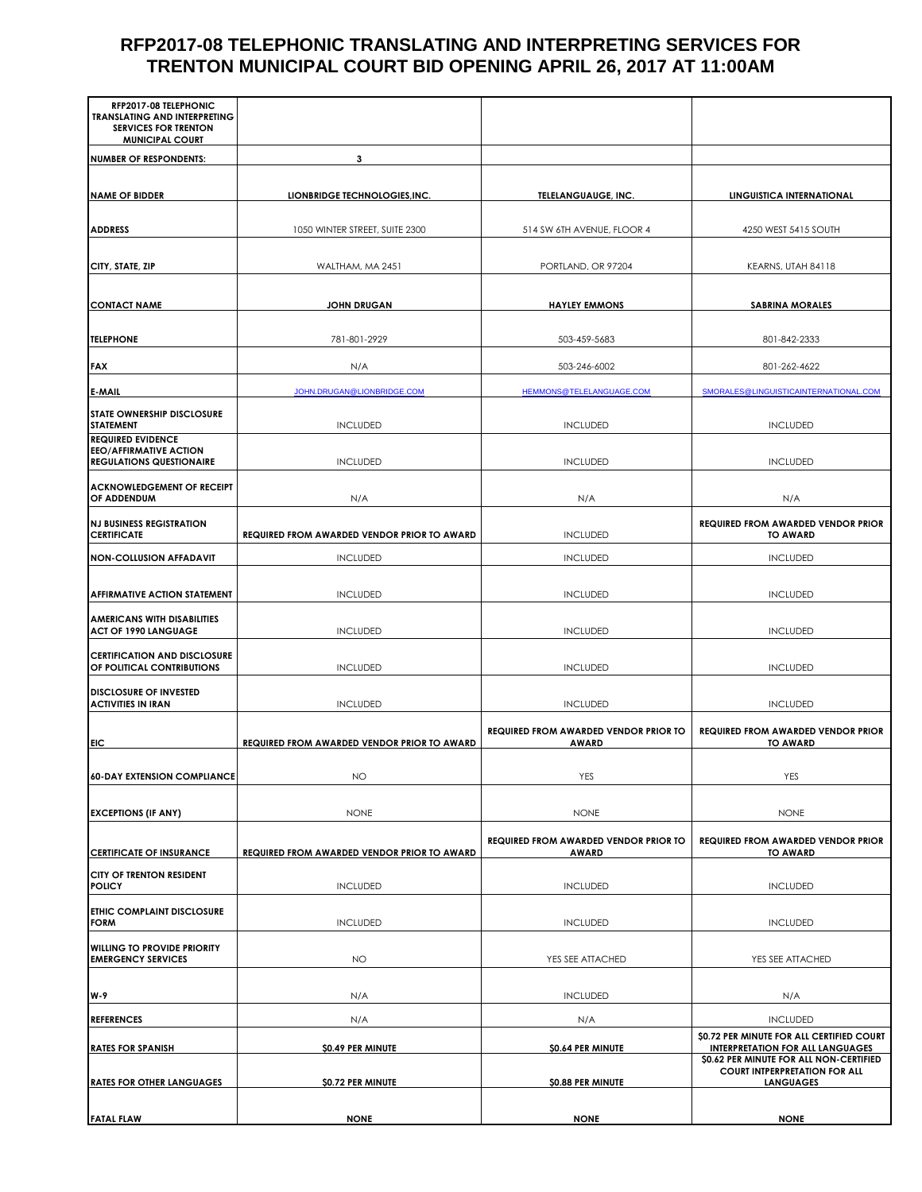#### **RFP2017-08 TELEPHONIC TRANSLATING AND INTERPRETING SERVICES FOR TRENTON MUNICIPAL COURT BID OPENING APRIL 26, 2017 AT 11:00AM**

| RFP2017-08 TELEPHONIC<br><b>TRANSLATING AND INTERPRETING</b>      |                                             |                                                              |                                                                                                     |
|-------------------------------------------------------------------|---------------------------------------------|--------------------------------------------------------------|-----------------------------------------------------------------------------------------------------|
| <b>SERVICES FOR TRENTON</b><br><b>MUNICIPAL COURT</b>             |                                             |                                                              |                                                                                                     |
| <b>NUMBER OF RESPONDENTS:</b>                                     | 3                                           |                                                              |                                                                                                     |
|                                                                   |                                             |                                                              |                                                                                                     |
| <b>NAME OF BIDDER</b>                                             | LIONBRIDGE TECHNOLOGIES, INC.               | TELELANGUAUGE, INC.                                          | LINGUISTICA INTERNATIONAL                                                                           |
| <b>ADDRESS</b>                                                    | 1050 WINTER STREET, SUITE 2300              | 514 SW 6TH AVENUE, FLOOR 4                                   | 4250 WEST 5415 SOUTH                                                                                |
| CITY, STATE, ZIP                                                  | WALTHAM, MA 2451                            | PORTLAND, OR 97204                                           | KEARNS, UTAH 84118                                                                                  |
| <b>CONTACT NAME</b>                                               | <b>JOHN DRUGAN</b>                          | <b>HAYLEY EMMONS</b>                                         | <b>SABRINA MORALES</b>                                                                              |
| <b>TELEPHONE</b>                                                  | 781-801-2929                                | 503-459-5683                                                 | 801-842-2333                                                                                        |
| <b>FAX</b>                                                        | N/A                                         | 503-246-6002                                                 | 801-262-4622                                                                                        |
| <b>E-MAIL</b>                                                     | JOHN.DRUGAN@LIONBRIDGE.COM                  | HEMMONS@TELELANGUAGE.COM                                     | SMORALES@LINGUISTICAINTERNATIONAL.COM                                                               |
| <b>STATE OWNERSHIP DISCLOSURE</b><br><b>STATEMENT</b>             | <b>INCLUDED</b>                             | <b>INCLUDED</b>                                              | <b>INCLUDED</b>                                                                                     |
| <b>REQUIRED EVIDENCE</b><br><b>EEO/AFFIRMATIVE ACTION</b>         |                                             |                                                              |                                                                                                     |
| <b>REGULATIONS QUESTIONAIRE</b>                                   | <b>INCLUDED</b>                             | <b>INCLUDED</b>                                              | <b>INCLUDED</b>                                                                                     |
| <b>ACKNOWLEDGEMENT OF RECEIPT</b><br>OF ADDENDUM                  | N/A                                         | N/A                                                          | N/A                                                                                                 |
| <b>NJ BUSINESS REGISTRATION</b><br><b>CERTIFICATE</b>             | REQUIRED FROM AWARDED VENDOR PRIOR TO AWARD | <b>INCLUDED</b>                                              | <b>REQUIRED FROM AWARDED VENDOR PRIOR</b><br><b>TO AWARD</b>                                        |
| <b>NON-COLLUSION AFFADAVIT</b>                                    | <b>INCLUDED</b>                             | <b>INCLUDED</b>                                              | <b>INCLUDED</b>                                                                                     |
| <b>AFFIRMATIVE ACTION STATEMENT</b>                               | <b>INCLUDED</b>                             | <b>INCLUDED</b>                                              | <b>INCLUDED</b>                                                                                     |
| <b>AMERICANS WITH DISABILITIES</b><br><b>ACT OF 1990 LANGUAGE</b> | <b>INCLUDED</b>                             | <b>INCLUDED</b>                                              | <b>INCLUDED</b>                                                                                     |
| <b>CERTIFICATION AND DISCLOSURE</b><br>OF POLITICAL CONTRIBUTIONS | <b>INCLUDED</b>                             | <b>INCLUDED</b>                                              | <b>INCLUDED</b>                                                                                     |
| <b>DISCLOSURE OF INVESTED</b><br><b>ACTIVITIES IN IRAN</b>        | <b>INCLUDED</b>                             | <b>INCLUDED</b>                                              | <b>INCLUDED</b>                                                                                     |
| EIC                                                               | REQUIRED FROM AWARDED VENDOR PRIOR TO AWARD | REQUIRED FROM AWARDED VENDOR PRIOR TO<br><b>AWARD</b>        | <b>REQUIRED FROM AWARDED VENDOR PRIOR</b><br><b>TO AWARD</b>                                        |
|                                                                   |                                             |                                                              |                                                                                                     |
| <b>60-DAY EXTENSION COMPLIANCE</b>                                | <b>NO</b>                                   | YES                                                          | YES                                                                                                 |
| <b>EXCEPTIONS (IF ANY)</b>                                        | <b>NONE</b>                                 | <b>NONE</b>                                                  | <b>NONE</b>                                                                                         |
| <b>CERTIFICATE OF INSURANCE</b>                                   | REQUIRED FROM AWARDED VENDOR PRIOR TO AWARD | <b>REQUIRED FROM AWARDED VENDOR PRIOR TO</b><br><b>AWARD</b> | <b>REQUIRED FROM AWARDED VENDOR PRIOR</b><br><b>TO AWARD</b>                                        |
| CITY OF TRENTON RESIDENT<br><b>POLICY</b>                         | <b>INCLUDED</b>                             | <b>INCLUDED</b>                                              | <b>INCLUDED</b>                                                                                     |
| <b>ETHIC COMPLAINT DISCLOSURE</b><br><b>FORM</b>                  | <b>INCLUDED</b>                             | <b>INCLUDED</b>                                              | <b>INCLUDED</b>                                                                                     |
| <b>WILLING TO PROVIDE PRIORITY</b><br><b>EMERGENCY SERVICES</b>   | <b>NO</b>                                   | YES SEE ATTACHED                                             | YES SEE ATTACHED                                                                                    |
| W-9                                                               | N/A                                         | <b>INCLUDED</b>                                              | N/A                                                                                                 |
| <b>REFERENCES</b>                                                 | N/A                                         | N/A                                                          | <b>INCLUDED</b>                                                                                     |
| <b>RATES FOR SPANISH</b>                                          | \$0.49 PER MINUTE                           | \$0.64 PER MINUTE                                            | \$0.72 PER MINUTE FOR ALL CERTIFIED COURT<br><b>INTERPRETATION FOR ALL LANGUAGES</b>                |
| <b>RATES FOR OTHER LANGUAGES</b>                                  | \$0.72 PER MINUTE                           | \$0.88 PER MINUTE                                            | \$0.62 PER MINUTE FOR ALL NON-CERTIFIED<br><b>COURT INTPERPRETATION FOR ALL</b><br><b>LANGUAGES</b> |
| <b>FATAL FLAW</b>                                                 | <b>NONE</b>                                 | <b>NONE</b>                                                  | <b>NONE</b>                                                                                         |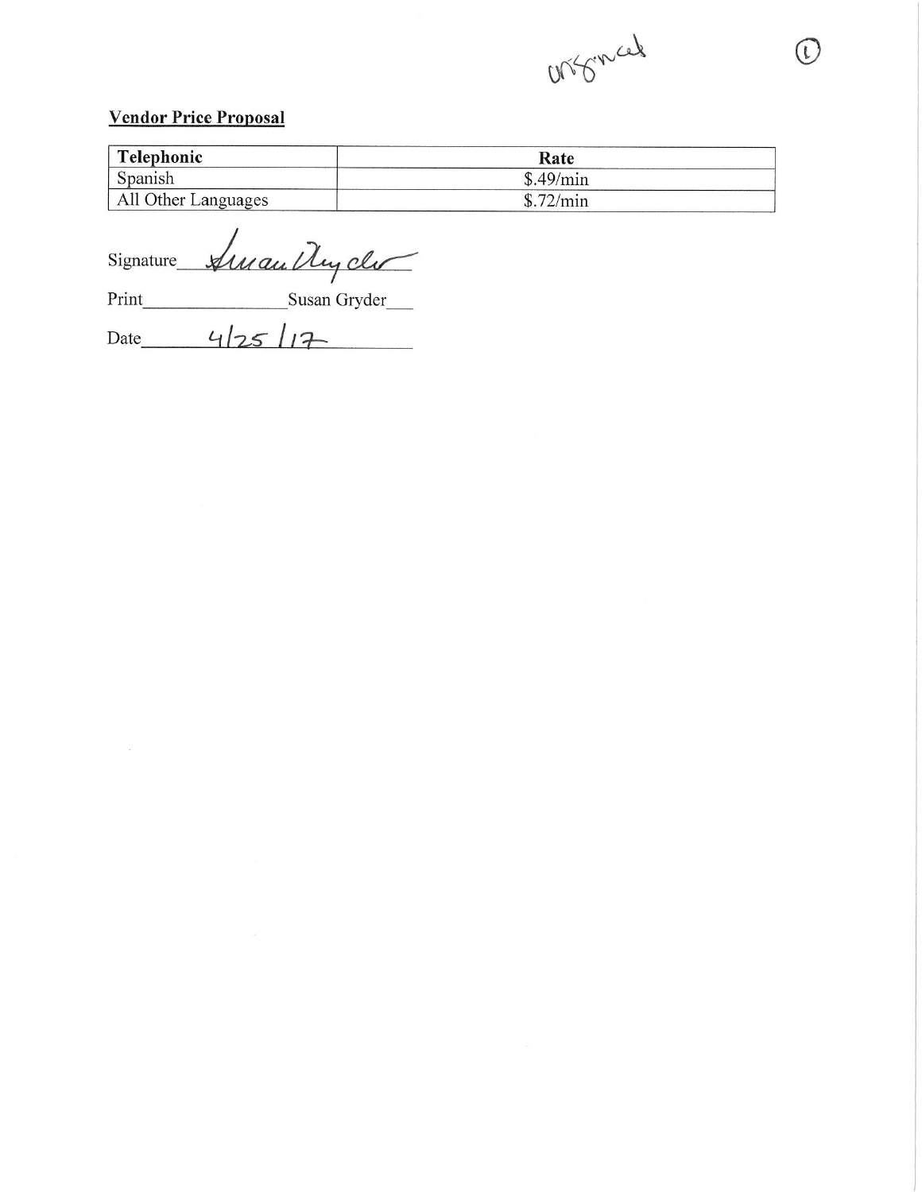

 $\left( \begin{array}{c} \iota \end{array} \right)$ 

#### **Vendor Price Proposal**

| Telephonic          | Rate      |  |
|---------------------|-----------|--|
| Spanish             | \$.49/min |  |
| All Other Languages | \$.72/min |  |

Signature Auran Ney cler

Date  $4/25/17$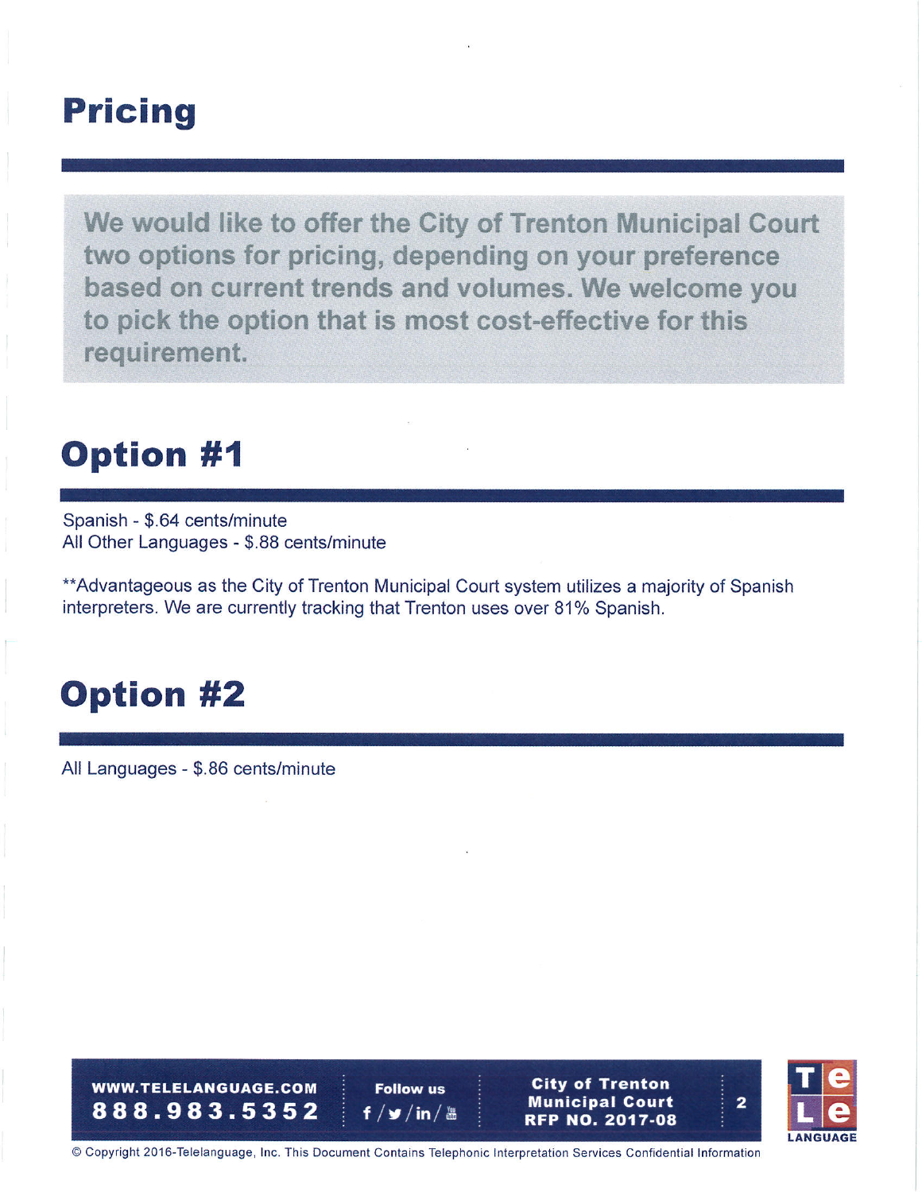### **Pricing**

We would like to offer the City of Trenton Municipal Court two options for pricing, depending on your preference based on current trends and volumes. We welcome you to pick the option that is most cost-effective for this requirement.

## **Option #1**

Spanish - \$.64 cents/minute All Other Languages - \$.88 cents/minute

\*\*Advantageous as the City of Trenton Municipal Court system utilizes a majority of Spanish interpreters. We are currently tracking that Trenton uses over 81% Spanish.

# **Option #2**

All Languages - \$.86 cents/minute

**WWW.TELELANGUAGE.COM** 888.983.5352

**Follow us** f  $/\blacktriangleright$  / in /  $\blacktriangleright$ 





 $\overline{\mathbf{2}}$ 

© Copyright 2016-Telelanguage, Inc. This Document Contains Telephonic Interpretation Services Confidential Information